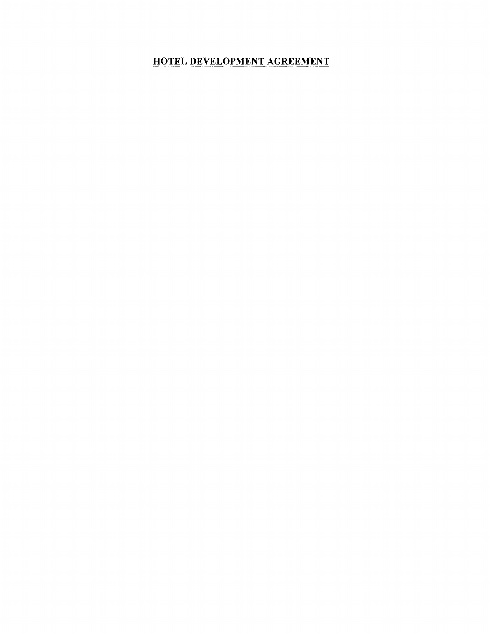# HOTEL DEVELOPMENT AGREEMENT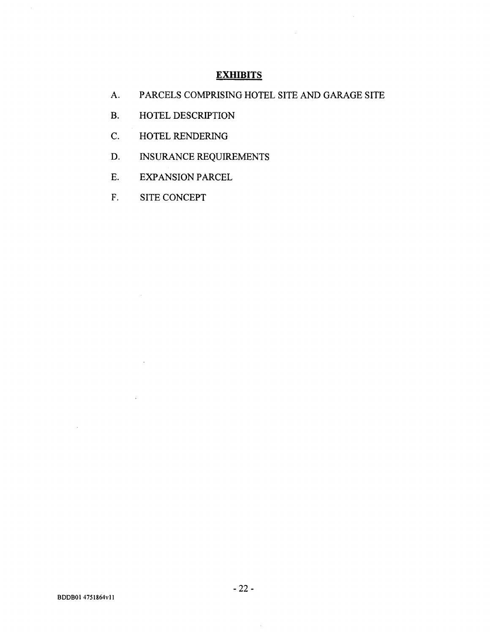## **EXHIBITS**

A. PARCELS COMPRISING HOTEL SITE AND GARAGE SITE

 $\sim$ 

- B. HOTEL DESCRIPTION
- C. HOTEL RENDERING
- D. INSURANCE REQUIREMENTS
- E. EXPANSION PARCEL
- F. SITE CONCEPT

 $\sim$   $\sim$ 

 $\sim$   $\mu$  .

 $\mathcal{A}^{\mathcal{A}}$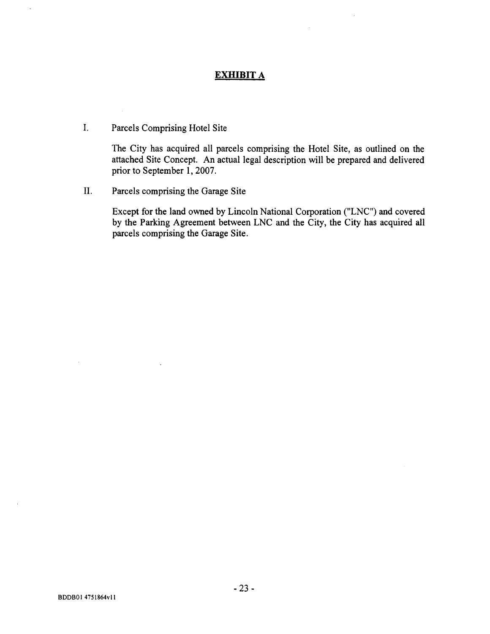## **EXHIBIT A**

### I. Parcels Comprising Hotel Site

The City has acquired all parcels comprising the Hotel Site, as outlined on the attached Site Concept. An actual legal description will be prepared and delivered prior to September 1, 2007.

II. Parcels comprising the Garage Site

**Except** for the **land owned** by Lincoln **National Corporation** ("LNC") and **covered** by the **Parking Agreement between** LNC and the City, the City **has acquired all parcels comprising the Garage Site.**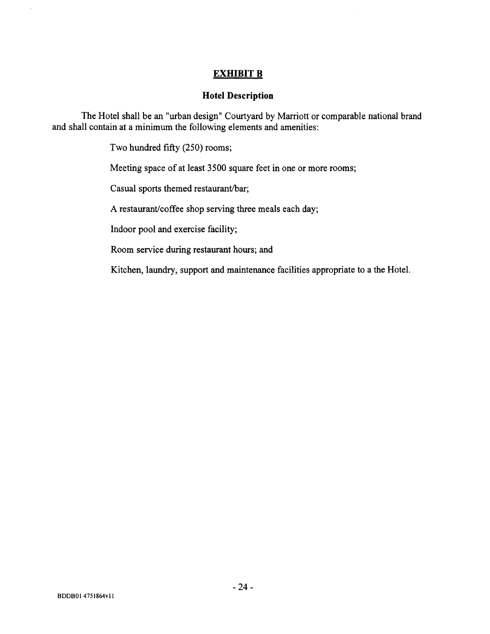# EXHIBIT B

#### **Hotel Description**

The Hotel shall be an "urban design" Courtyard by Marriott or comparable national brand and shall contain at a minimum the following elements and amenities:

**Two hundred** fifty (**250) rooms;**

**Meeting space of at least 3500 square feet in one or more rooms;**

Casual sports themed restaurant/bar;

**A restaurant**/**coffee shop serving three meals each day;**

**Indoor pool and exercise facility;**

**Room service during restaurant hours; and**

**Kitchen, laundry, support and maintenance facilities appropriate to a the Hotel.**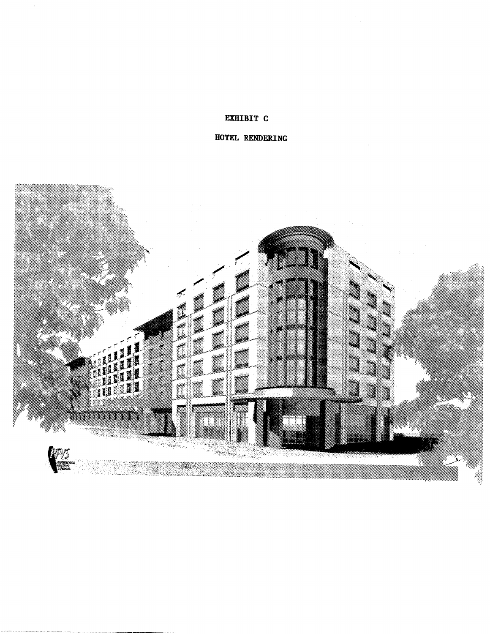#### **EXHIBIT C**

# HOTEL RENDERING

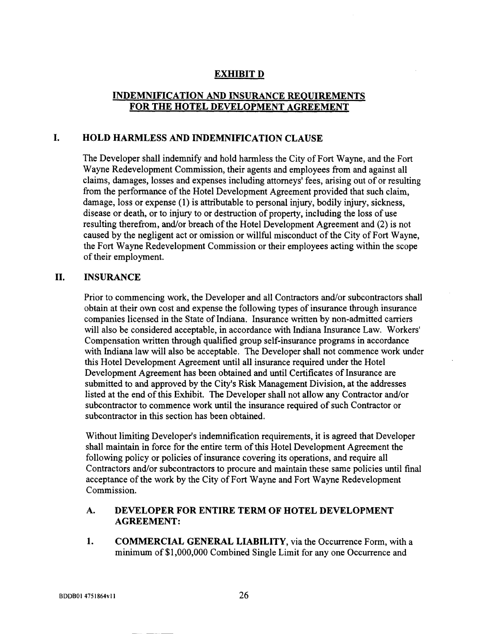# **EXHIBIT D**

#### **INDEMNIFICATION AND INSURANCE REQUIREMENTS FOR THE HOTEL DEVELOPMENT AGREEMENT**

### **1. HOLD HARMLESS AND INDEMNIFICATION CLAUSE**

The Developer **shall indemnify and hold harmless** the City of Fort Wayne, and the Fort Wayne **Redevelopment Commission**, **their agents and employees** from and **against all claims**, **damages, losses and expenses including attorneys**' **fees, arising** out of or **resulting** from the performance of the **Hotel Development Agreement** provided **that such claim, damage** , **loss or expense** ( **1) is attributable to personal** injury, bodily injury, **sickness, disease or death**, or to injury **to or destruction** of property, **including the loss of use resulting therefrom**, **and/or breach** of the **Hotel Development Agreement and (2) is not** caused by **the negligent act or omission** or willful **misconduct** of the City of Fort Wayne, the Fort Wayne **Redevelopment Commission or their employees acting within the scope** of their **employment.**

#### **II. INSURANCE**

**Prior to commencing work**, **the Developer and all Contractors and/or subcontractors shall obtain at their own cost and expense the following types of insurance through insurance companies licensed in the State of Indiana** . **Insurance written by non**-**admitted carriers will also be considered acceptable**, **in accordance with Indiana Insurance Law. Workers' Compensation written through qualified group self-insurance programs in accordance** with Indiana law will also be acceptable. The Developer shall not commence work under **this Hotel Development Agreement until all insurance required under the Hotel Development Agreement has been obtained and until Certificates of Insurance are submitted to and approved by the City's Risk Management Division** , **at the addresses** listed at the end of this Exhibit. The Developer shall not allow any Contractor and/or **subcontractor to commence work until the insurance required of such Contractor or subcontractor in this section has been obtained.**

**Without limiting Developer**'**s indemnification requirements**, **it is agreed that Developer shall maintain in force for the entire term of this Hotel Development Agreement the following policy or policies of insurance covering its operations**, **and require all Contractors and/or subcontractors to procure and maintain these same policies until final acceptance of the work by the City of Fort Wayne and Fort Wayne Redevelopment Commission.**

#### **A. DEVELOPER FOR ENTIRE TERM OF HOTEL DEVELOPMENT AGREEMENT:**

**1. COMMERCIAL GENERAL LIABILITY** , **via the Occurrence Form, with a** minimum of \$1,000,000 Combined Single Limit for any one Occurrence and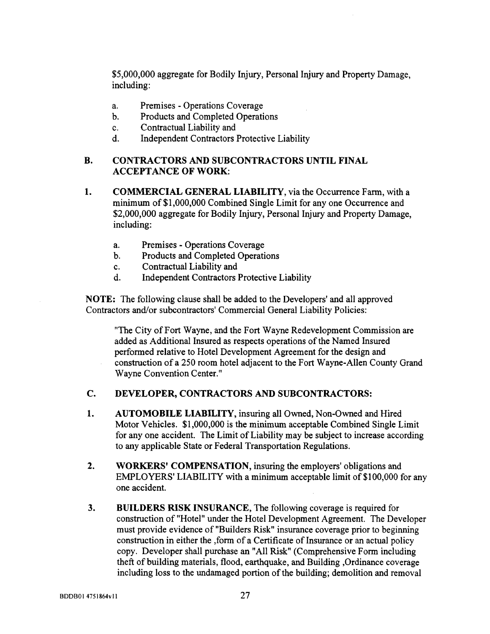**\$5,000,000 aggregate** for Bodily Injury, **Personal** Injury and Property **Damage, including:**

- **a. Premises Operations Coverage**
- **b. Products and Completed Operations**
- C. Contractual Liability and
- d. Independent Contractors Protective Liability

#### **B. CONTRACTORS AND SUBCONTRACTORS** UNTIL FINAL ACCEPTANCE **OF WORK:**

- **1. COMMERCIAL GENERAL LIABILITY** , **via the Occurrence Farm, with a minimum** of \$1,000,000 Combined Single Limit for any one Occurrence and **\$2,000,000 aggregate for Bodily Injury, Personal Injury and Property Damage, including:**
	- **a. Premises** Operations Coverage
	- b. Products and Completed Operations
	- C. Contractual Liability and
	- d. Independent Contractors Protective Liability

**NOTE**: **The following clause shall be added to the Developers**' **and all approved** Contractors and/or subcontractors' Commercial General Liability Policies:

"The City of Fort Wayne, and the Fort Wayne Redevelopment Commission are added as Additional **Insured as respects operations** of the Named **Insured performed relative to Hotel Development Agreement for the design and** construction of a 250 room hotel adjacent to the Fort Wayne-Allen County Grand Wayne Convention Center."

#### **C. DEVELOPER**, **CONTRACTORS AND SUBCONTRACTORS:**

- **1. AUTOMOBILE LIABILITY** , **insuring all Owned**, **Non-Owned and Hired** Motor Vehicles.  $$1,000,000$  is the minimum acceptable Combined Single Limit **for any one accident**. **The Limit of Liability may be subject to increase according to any applicable State or Federal Transportation Regulations.**
- **2. WORKERS**' **COMPENSATION** , **insuring the employers**' **obligations and** EMPLOYERS' LIABILITY with **a minimum acceptable limit** of \$100,000 for any **one accident.**
- **3. BUILDERS RISK INSURANCE**, The following **coverage is required for** construction of "Hotel" under the Hotel Development Agreement. The Developer **must provide evidence of "Builders Risk** " **insurance coverage prior to beginning** construction in either the form of a Certificate of Insurance or an actual policy copy. Developer shall purchase an "All Risk" (Comprehensive Form including **theft of building materials**, **flood**, **earthquake** , **and Building Ordinance coverage including loss to the undamaged portion of the building; demolition and removal**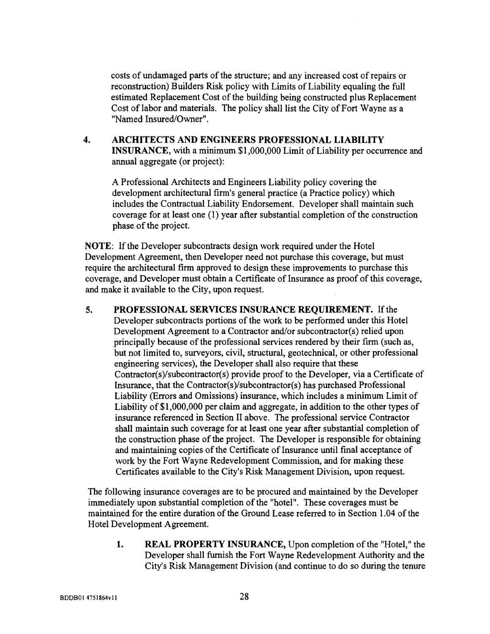costs of undamaged parts of the structure; and any increased cost of repairs or reconstruction) Builders Risk policy with Limits of Liability equaling the full estimated Replacement Cost of the building being constructed plus Replacement Cost of labor and materials. The policy shall list the City of Fort Wayne as a "Named Insured/Owner".

# 4. ARCHITECTS AND ENGINEERS PROFESSIONAL LIABILITY INSURANCE, with **a minimum** \$1,000,000 Limit of Liability per occurrence and **annual** aggregate (or project):

A Professional Architects **and Engineers** Liability policy covering the development architectural firm'**s general** practice (a Practice policy) which includes the Contractual Liability Endorsement. Developer shall maintain such coverage for at least one (1) year after substantial completion of the construction phase of the project.

NOTE: If the Developer subcontracts design work required under the Hotel Development Agreement, then Developer need not purchase this coverage, but must require the architectural firm approved to design these improvements to purchase this coverage, and Developer must obtain a Certificate of Insurance as proof of this coverage, and make it available to the City, upon request.

5. PROFESSIONAL SERVICES INSURANCE REQUIREMENT. If the Developer subcontracts portions of the work to be performed under this Hotel Development Agreement to a Contractor and/or subcontractor(s) relied upon principally because of the professional services rendered by their firm (such as, but not limited to, surveyors, civil, structural, geotechnical, or other professional engineering services), the Developer shall also require that these Contractor(s)/subcontractor(s) provide proof to the Developer, via a Certificate of Insurance, that the Contractor(s)/subcontractor(s) has purchased Professional Liability (Errors and Omissions) insurance, which includes a minimum Limit of Liability of \$1,000,000 per claim and aggregate, in addition to the other types of insurance referenced in Section II above. The professional service Contractor shall maintain such coverage for at least one year after substantial completion of the construction phase of the project. The Developer is responsible for obtaining and maintaining copies of the Certificate of Insurance until final acceptance of work by the Fort Wayne Redevelopment Commission, and for making these Certificates available to the City's Risk Management Division, upon request.

The following insurance coverages are to be procured and maintained by the Developer immediately upon substantial completion of the "hotel". These coverages must be maintained for the entire duration of the Ground Lease referred to in Section 1.04 of the Hotel Development Agreement.

1. REAL PROPERTY INSURANCE, Upon completion of the "Hotel," the Developer shall furnish the Fort Wayne Redevelopment Authority and the City's Risk Management Division (and continue to do so during the tenure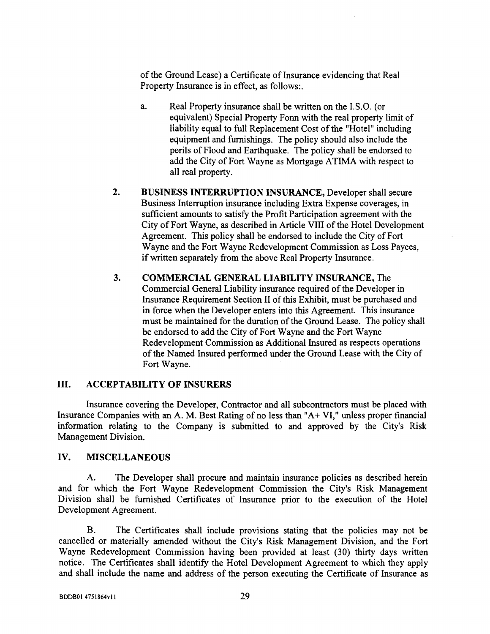of the Ground Lease) a Certificate of Insurance evidencing that Real Property Insurance is in effect, as follows:.

- a. Real Property insurance shall be written on the I.S.O. (or equivalent) Special Property Fonn with the real property limit of liability equal to full Replacement Cost of the "Hotel" including equipment and furnishings. The policy should also include the perils of Flood and Earthquake. The policy shall be endorsed to add the City of Fort Wayne as Mortgage ATIMA with respect to all real property.
- 2. BUSINESS INTERRUPTION INSURANCE, Developer shall secure Business Interruption insurance including Extra Expense coverages, in sufficient amounts to satisfy the Profit Participation agreement with the City of Fort Wayne, as described in Article VIII of the Hotel Development Agreement. This policy shall be endorsed to include the City of Fort Wayne and the Fort Wayne Redevelopment Commission as Loss Payees, if written separately from the above Real Property Insurance.
- 3. COMMERCIAL GENERAL LIABILITY INSURANCE, The Commercial General Liability insurance required of the Developer in Insurance Requirement Section II of this Exhibit, must be purchased and in force when the Developer enters into this Agreement. This insurance must be maintained for the duration of the Ground Lease. The policy shall be endorsed to add the City of Fort Wayne and the Fort Wayne Redevelopment Commission as Additional Insured as respects operations of the Named Insured performed under the Ground Lease with the City of Fort Wayne.

#### Ш. ACCEPTABILITY **OF INSURERS**

Insurance covering the Developer, Contractor and all subcontractors must be placed with Insurance Companies with an A. M. Best Rating of no less than "A+ VI," unless proper financial information relating to the Company is submitted to and approved by the City's Risk Management Division.

#### IV. MISCELLANEOUS

A. The **Developer shall procure and maintain insurance policies as described herein and for** which **the Fort** Wayne **Redevelopment Commission** the City'**s Risk Management Division shall be furnished Certificates of Insurance prior to the execution of the Hotel Development Agreement.**

B. The Certificates shall include provisions stating that the policies may not be cancelled or materially amended without the City's Risk Management Division, and the Fort Wayne Redevelopment Commission having been provided at least (30) thirty days written notice. The Certificates shall identify the Hotel Development Agreement to which they apply and shall include the name and address of the person executing the Certificate of Insurance as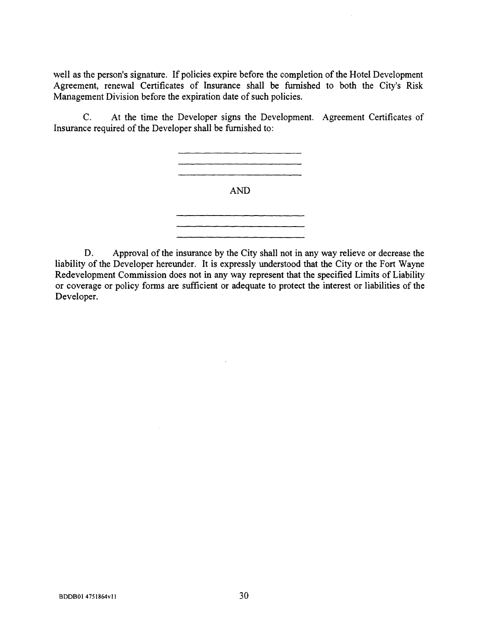well as the person's signature. If policies expire before the completion of the Hotel Development Agreement, renewal Certificates of Insurance shall be furnished to both the City's Risk Management Division before the expiration date of such policies.

C. At the time the Developer **signs** the Development. Agreement Certificates of **Insurance** required of the Developer shall be furnished to:



D. Approval of the insurance by the City shall not in any way relieve or decrease the liability of the Developer hereunder. It is expressly understood that the City or the Fort Wayne Redevelopment Commission does not in any way represent that the specified Limits of Liability or coverage or policy forms are sufficient or adequate to protect the interest or liabilities of the Developer.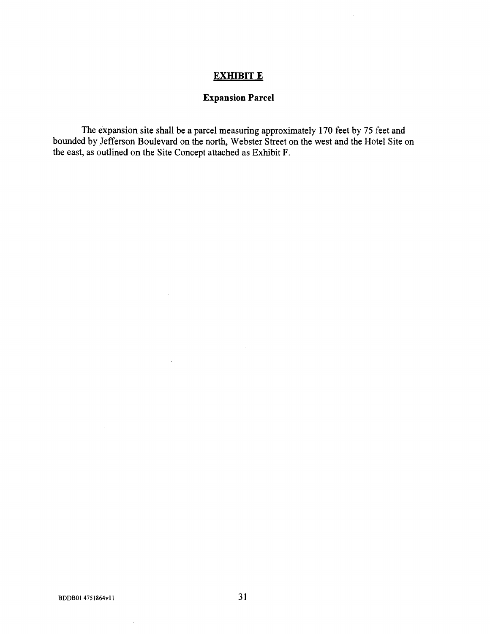# EXHIBIT E

 $\bar{\beta}$ 

# **Expansion Parcel**

The expansion site shall be a parcel measuring approximately 170 feet by 75 feet and bounded by Jefferson Boulevard on the north, Webster Street on the west and the Hotel Site on the east, as outlined on the Site Concept attached as Exhibit F.

 $\bar{\lambda}$ 

 $\bar{z}$ 

 $\bar{\beta}$ 

 $\mathcal{L}$